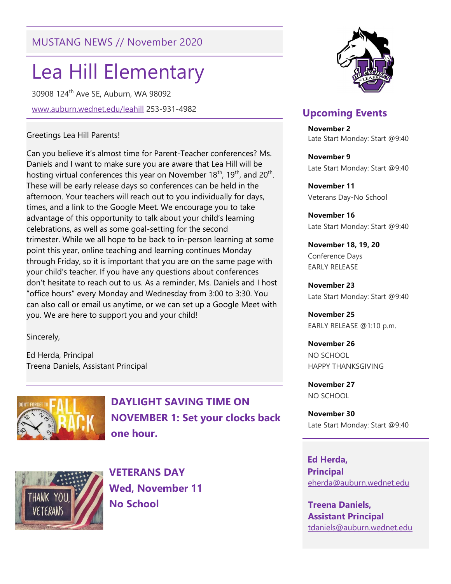# MUSTANG NEWS // November 2020

# Lea Hill Elementary

30908 124th Ave SE, Auburn, WA 98092

www.auburn.wednet.edu/leahill 253-931-4982

#### Greetings Lea Hill Parents!

Can you believe it's almost time for Parent-Teacher conferences? Ms. Daniels and I want to make sure you are aware that Lea Hill will be hosting virtual conferences this year on November 18<sup>th</sup>, 19<sup>th</sup>, and 20<sup>th</sup>. These will be early release days so conferences can be held in the afternoon. Your teachers will reach out to you individually for days, times, and a link to the Google Meet. We encourage you to take advantage of this opportunity to talk about your child's learning celebrations, as well as some goal-setting for the second trimester. While we all hope to be back to in-person learning at some point this year, online teaching and learning continues Monday through Friday, so it is important that you are on the same page with your child's teacher. If you have any questions about conferences don't hesitate to reach out to us. As a reminder, Ms. Daniels and I host "office hours" every Monday and Wednesday from 3:00 to 3:30. You can also call or email us anytime, or we can set up a Google Meet with you. We are here to support you and your child!

Sincerely,

Ed Herda, Principal Treena Daniels, Assistant Principal



DAYLIGHT SAVING TIME ON NOVEMBER 1: Set your clocks back one hour.



VETERANS DAY Wed, November 11 No School



## Upcoming Events

November 2 Late Start Monday: Start @9:40

November 9 Late Start Monday: Start @9:40

November 11 Veterans Day-No School

November 16 Late Start Monday: Start @9:40

November 18, 19, 20 Conference Days EARLY RELEASE

November 23 Late Start Monday: Start @9:40

November 25 EARLY RELEASE @1:10 p.m.

November 26 NO SCHOOL HAPPY THANKSGIVING

November 27 NO SCHOOL

November 30 Late Start Monday: Start @9:40

 Ed Herda, **Principal** eherda@auburn.wednet.edu

Treena Daniels, Assistant Principal tdaniels@auburn.wednet.edu